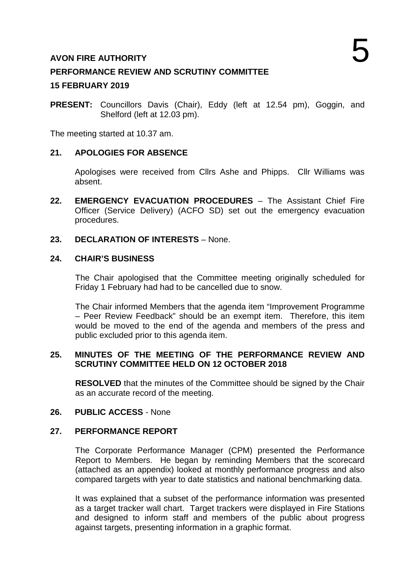# **AVON FIRE AUTHORITY**

## **PERFORMANCE REVIEW AND SCRUTINY COMMITTEE**

### **15 FEBRUARY 2019**

**PRESENT:** Councillors Davis (Chair), Eddy (left at 12.54 pm), Goggin, and Shelford (left at 12.03 pm).

The meeting started at 10.37 am.

### **21. APOLOGIES FOR ABSENCE**

Apologises were received from Cllrs Ashe and Phipps. Cllr Williams was absent.

- **22. EMERGENCY EVACUATION PROCEDURES**  The Assistant Chief Fire Officer (Service Delivery) (ACFO SD) set out the emergency evacuation procedures.
- **23. DECLARATION OF INTERESTS**  None.

#### **24. CHAIR'S BUSINESS**

The Chair apologised that the Committee meeting originally scheduled for Friday 1 February had had to be cancelled due to snow.

The Chair informed Members that the agenda item "Improvement Programme – Peer Review Feedback" should be an exempt item. Therefore, this item would be moved to the end of the agenda and members of the press and public excluded prior to this agenda item.

#### **25. MINUTES OF THE MEETING OF THE PERFORMANCE REVIEW AND SCRUTINY COMMITTEE HELD ON 12 OCTOBER 2018**

**RESOLVED** that the minutes of the Committee should be signed by the Chair as an accurate record of the meeting.

#### **26. PUBLIC ACCESS** - None

#### **27. PERFORMANCE REPORT**

The Corporate Performance Manager (CPM) presented the Performance Report to Members. He began by reminding Members that the scorecard (attached as an appendix) looked at monthly performance progress and also compared targets with year to date statistics and national benchmarking data.

It was explained that a subset of the performance information was presented as a target tracker wall chart. Target trackers were displayed in Fire Stations and designed to inform staff and members of the public about progress against targets, presenting information in a graphic format.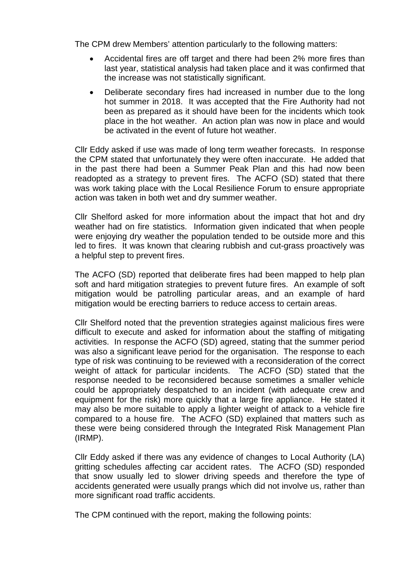The CPM drew Members' attention particularly to the following matters:

- Accidental fires are off target and there had been 2% more fires than last year, statistical analysis had taken place and it was confirmed that the increase was not statistically significant.
- Deliberate secondary fires had increased in number due to the long hot summer in 2018. It was accepted that the Fire Authority had not been as prepared as it should have been for the incidents which took place in the hot weather. An action plan was now in place and would be activated in the event of future hot weather.

Cllr Eddy asked if use was made of long term weather forecasts. In response the CPM stated that unfortunately they were often inaccurate. He added that in the past there had been a Summer Peak Plan and this had now been readopted as a strategy to prevent fires. The ACFO (SD) stated that there was work taking place with the Local Resilience Forum to ensure appropriate action was taken in both wet and dry summer weather.

Cllr Shelford asked for more information about the impact that hot and dry weather had on fire statistics. Information given indicated that when people were enjoying dry weather the population tended to be outside more and this led to fires. It was known that clearing rubbish and cut-grass proactively was a helpful step to prevent fires.

The ACFO (SD) reported that deliberate fires had been mapped to help plan soft and hard mitigation strategies to prevent future fires. An example of soft mitigation would be patrolling particular areas, and an example of hard mitigation would be erecting barriers to reduce access to certain areas.

Cllr Shelford noted that the prevention strategies against malicious fires were difficult to execute and asked for information about the staffing of mitigating activities. In response the ACFO (SD) agreed, stating that the summer period was also a significant leave period for the organisation. The response to each type of risk was continuing to be reviewed with a reconsideration of the correct weight of attack for particular incidents. The ACFO (SD) stated that the response needed to be reconsidered because sometimes a smaller vehicle could be appropriately despatched to an incident (with adequate crew and equipment for the risk) more quickly that a large fire appliance. He stated it may also be more suitable to apply a lighter weight of attack to a vehicle fire compared to a house fire. The ACFO (SD) explained that matters such as these were being considered through the Integrated Risk Management Plan (IRMP).

Cllr Eddy asked if there was any evidence of changes to Local Authority (LA) gritting schedules affecting car accident rates. The ACFO (SD) responded that snow usually led to slower driving speeds and therefore the type of accidents generated were usually prangs which did not involve us, rather than more significant road traffic accidents.

The CPM continued with the report, making the following points: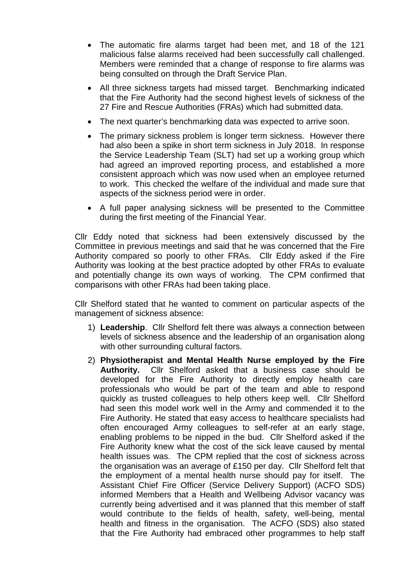- The automatic fire alarms target had been met, and 18 of the 121 malicious false alarms received had been successfully call challenged. Members were reminded that a change of response to fire alarms was being consulted on through the Draft Service Plan.
- All three sickness targets had missed target. Benchmarking indicated that the Fire Authority had the second highest levels of sickness of the 27 Fire and Rescue Authorities (FRAs) which had submitted data.
- The next quarter's benchmarking data was expected to arrive soon.
- The primary sickness problem is longer term sickness. However there had also been a spike in short term sickness in July 2018. In response the Service Leadership Team (SLT) had set up a working group which had agreed an improved reporting process, and established a more consistent approach which was now used when an employee returned to work. This checked the welfare of the individual and made sure that aspects of the sickness period were in order.
- A full paper analysing sickness will be presented to the Committee during the first meeting of the Financial Year.

Cllr Eddy noted that sickness had been extensively discussed by the Committee in previous meetings and said that he was concerned that the Fire Authority compared so poorly to other FRAs. Cllr Eddy asked if the Fire Authority was looking at the best practice adopted by other FRAs to evaluate and potentially change its own ways of working. The CPM confirmed that comparisons with other FRAs had been taking place.

Cllr Shelford stated that he wanted to comment on particular aspects of the management of sickness absence:

- 1) **Leadership**. Cllr Shelford felt there was always a connection between levels of sickness absence and the leadership of an organisation along with other surrounding cultural factors.
- 2) **Physiotherapist and Mental Health Nurse employed by the Fire Authority.** Cllr Shelford asked that a business case should be developed for the Fire Authority to directly employ health care professionals who would be part of the team and able to respond quickly as trusted colleagues to help others keep well. Cllr Shelford had seen this model work well in the Army and commended it to the Fire Authority. He stated that easy access to healthcare specialists had often encouraged Army colleagues to self-refer at an early stage, enabling problems to be nipped in the bud. Cllr Shelford asked if the Fire Authority knew what the cost of the sick leave caused by mental health issues was. The CPM replied that the cost of sickness across the organisation was an average of £150 per day. Cllr Shelford felt that the employment of a mental health nurse should pay for itself. The Assistant Chief Fire Officer (Service Delivery Support) (ACFO SDS) informed Members that a Health and Wellbeing Advisor vacancy was currently being advertised and it was planned that this member of staff would contribute to the fields of health, safety, well-being, mental health and fitness in the organisation. The ACFO (SDS) also stated that the Fire Authority had embraced other programmes to help staff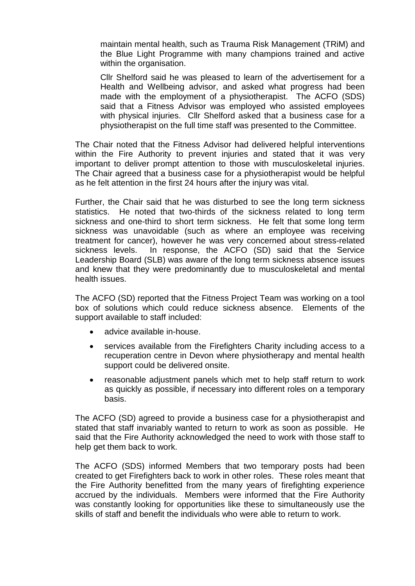maintain mental health, such as Trauma Risk Management (TRiM) and the Blue Light Programme with many champions trained and active within the organisation.

Cllr Shelford said he was pleased to learn of the advertisement for a Health and Wellbeing advisor, and asked what progress had been made with the employment of a physiotherapist. The ACFO (SDS) said that a Fitness Advisor was employed who assisted employees with physical injuries. Cllr Shelford asked that a business case for a physiotherapist on the full time staff was presented to the Committee.

The Chair noted that the Fitness Advisor had delivered helpful interventions within the Fire Authority to prevent injuries and stated that it was very important to deliver prompt attention to those with musculoskeletal injuries. The Chair agreed that a business case for a physiotherapist would be helpful as he felt attention in the first 24 hours after the injury was vital.

Further, the Chair said that he was disturbed to see the long term sickness statistics. He noted that two-thirds of the sickness related to long term sickness and one-third to short term sickness. He felt that some long term sickness was unavoidable (such as where an employee was receiving treatment for cancer), however he was very concerned about stress-related sickness levels. In response, the ACFO (SD) said that the Service Leadership Board (SLB) was aware of the long term sickness absence issues and knew that they were predominantly due to musculoskeletal and mental health issues.

The ACFO (SD) reported that the Fitness Project Team was working on a tool box of solutions which could reduce sickness absence. Elements of the support available to staff included:

- advice available in-house.
- services available from the Firefighters Charity including access to a recuperation centre in Devon where physiotherapy and mental health support could be delivered onsite.
- reasonable adjustment panels which met to help staff return to work as quickly as possible, if necessary into different roles on a temporary basis.

The ACFO (SD) agreed to provide a business case for a physiotherapist and stated that staff invariably wanted to return to work as soon as possible. He said that the Fire Authority acknowledged the need to work with those staff to help get them back to work.

The ACFO (SDS) informed Members that two temporary posts had been created to get Firefighters back to work in other roles. These roles meant that the Fire Authority benefitted from the many years of firefighting experience accrued by the individuals. Members were informed that the Fire Authority was constantly looking for opportunities like these to simultaneously use the skills of staff and benefit the individuals who were able to return to work.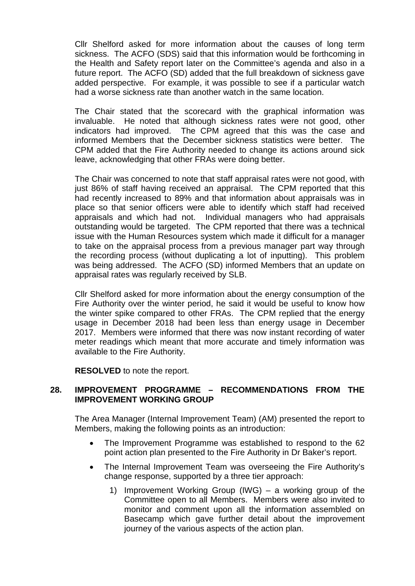Cllr Shelford asked for more information about the causes of long term sickness. The ACFO (SDS) said that this information would be forthcoming in the Health and Safety report later on the Committee's agenda and also in a future report. The ACFO (SD) added that the full breakdown of sickness gave added perspective. For example, it was possible to see if a particular watch had a worse sickness rate than another watch in the same location.

The Chair stated that the scorecard with the graphical information was invaluable. He noted that although sickness rates were not good, other indicators had improved. The CPM agreed that this was the case and informed Members that the December sickness statistics were better. The CPM added that the Fire Authority needed to change its actions around sick leave, acknowledging that other FRAs were doing better.

The Chair was concerned to note that staff appraisal rates were not good, with just 86% of staff having received an appraisal. The CPM reported that this had recently increased to 89% and that information about appraisals was in place so that senior officers were able to identify which staff had received appraisals and which had not. Individual managers who had appraisals outstanding would be targeted. The CPM reported that there was a technical issue with the Human Resources system which made it difficult for a manager to take on the appraisal process from a previous manager part way through the recording process (without duplicating a lot of inputting). This problem was being addressed. The ACFO (SD) informed Members that an update on appraisal rates was regularly received by SLB.

Cllr Shelford asked for more information about the energy consumption of the Fire Authority over the winter period, he said it would be useful to know how the winter spike compared to other FRAs. The CPM replied that the energy usage in December 2018 had been less than energy usage in December 2017. Members were informed that there was now instant recording of water meter readings which meant that more accurate and timely information was available to the Fire Authority.

**RESOLVED** to note the report.

### **28. IMPROVEMENT PROGRAMME – RECOMMENDATIONS FROM THE IMPROVEMENT WORKING GROUP**

The Area Manager (Internal Improvement Team) (AM) presented the report to Members, making the following points as an introduction:

- The Improvement Programme was established to respond to the 62 point action plan presented to the Fire Authority in Dr Baker's report.
- The Internal Improvement Team was overseeing the Fire Authority's change response, supported by a three tier approach:
	- 1) Improvement Working Group (IWG) a working group of the Committee open to all Members. Members were also invited to monitor and comment upon all the information assembled on Basecamp which gave further detail about the improvement journey of the various aspects of the action plan.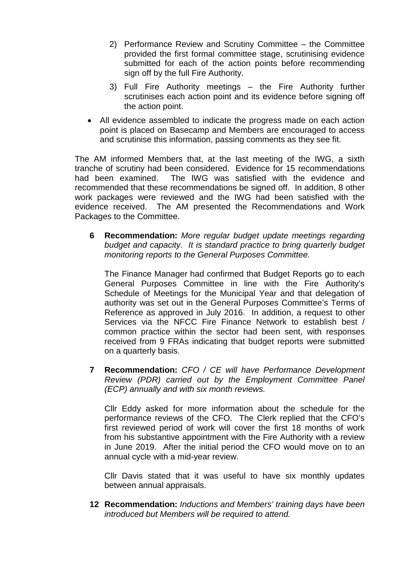- 2) Performance Review and Scrutiny Committee the Committee provided the first formal committee stage, scrutinising evidence submitted for each of the action points before recommending sign off by the full Fire Authority.
- 3) Full Fire Authority meetings the Fire Authority further scrutinises each action point and its evidence before signing off the action point.
- All evidence assembled to indicate the progress made on each action point is placed on Basecamp and Members are encouraged to access and scrutinise this information, passing comments as they see fit.

The AM informed Members that, at the last meeting of the IWG, a sixth tranche of scrutiny had been considered. Evidence for 15 recommendations had been examined. The IWG was satisfied with the evidence and recommended that these recommendations be signed off. In addition, 8 other work packages were reviewed and the IWG had been satisfied with the evidence received. The AM presented the Recommendations and Work Packages to the Committee.

**6 Recommendation:** *More regular budget update meetings regarding budget and capacity. It is standard practice to bring quarterly budget monitoring reports to the General Purposes Committee.*

The Finance Manager had confirmed that Budget Reports go to each General Purposes Committee in line with the Fire Authority's Schedule of Meetings for the Municipal Year and that delegation of authority was set out in the General Purposes Committee's Terms of Reference as approved in July 2016. In addition, a request to other Services via the NFCC Fire Finance Network to establish best / common practice within the sector had been sent, with responses received from 9 FRAs indicating that budget reports were submitted on a quarterly basis.

**7 Recommendation:** *CFO / CE will have Performance Development Review (PDR) carried out by the Employment Committee Panel (ECP) annually and with six month reviews.*

Cllr Eddy asked for more information about the schedule for the performance reviews of the CFO. The Clerk replied that the CFO's first reviewed period of work will cover the first 18 months of work from his substantive appointment with the Fire Authority with a review in June 2019. After the initial period the CFO would move on to an annual cycle with a mid-year review.

Cllr Davis stated that it was useful to have six monthly updates between annual appraisals.

**12 Recommendation:** *Inductions and Members' training days have been introduced but Members will be required to attend.*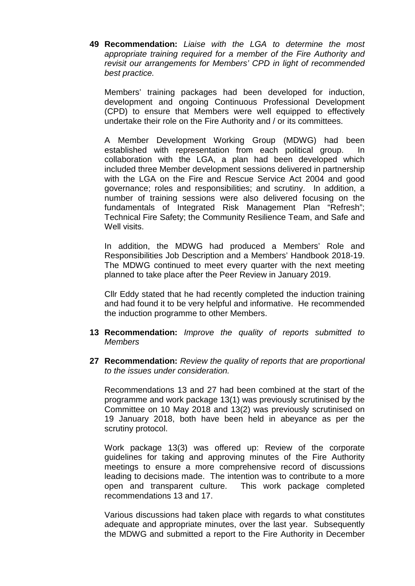**49 Recommendation:** *Liaise with the LGA to determine the most appropriate training required for a member of the Fire Authority and revisit our arrangements for Members' CPD in light of recommended best practice.*

Members' training packages had been developed for induction, development and ongoing Continuous Professional Development (CPD) to ensure that Members were well equipped to effectively undertake their role on the Fire Authority and / or its committees.

A Member Development Working Group (MDWG) had been established with representation from each political group. In collaboration with the LGA, a plan had been developed which included three Member development sessions delivered in partnership with the LGA on the Fire and Rescue Service Act 2004 and good governance; roles and responsibilities; and scrutiny. In addition, a number of training sessions were also delivered focusing on the fundamentals of Integrated Risk Management Plan "Refresh"; Technical Fire Safety; the Community Resilience Team, and Safe and Well visits.

In addition, the MDWG had produced a Members' Role and Responsibilities Job Description and a Members' Handbook 2018-19. The MDWG continued to meet every quarter with the next meeting planned to take place after the Peer Review in January 2019.

Cllr Eddy stated that he had recently completed the induction training and had found it to be very helpful and informative. He recommended the induction programme to other Members.

- **13 Recommendation:** *Improve the quality of reports submitted to Members*
- **27 Recommendation:** *Review the quality of reports that are proportional to the issues under consideration.*

Recommendations 13 and 27 had been combined at the start of the programme and work package 13(1) was previously scrutinised by the Committee on 10 May 2018 and 13(2) was previously scrutinised on 19 January 2018, both have been held in abeyance as per the scrutiny protocol.

Work package 13(3) was offered up: Review of the corporate guidelines for taking and approving minutes of the Fire Authority meetings to ensure a more comprehensive record of discussions leading to decisions made. The intention was to contribute to a more open and transparent culture. This work package completed recommendations 13 and 17.

Various discussions had taken place with regards to what constitutes adequate and appropriate minutes, over the last year. Subsequently the MDWG and submitted a report to the Fire Authority in December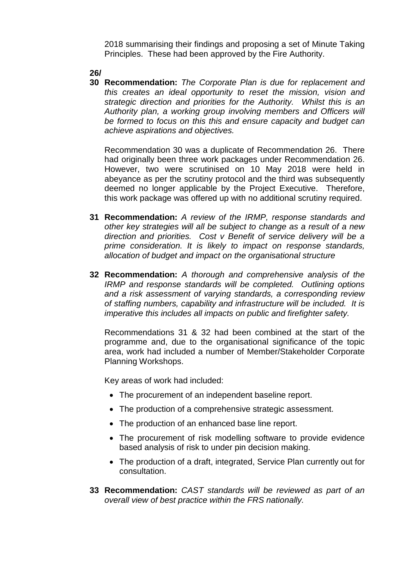2018 summarising their findings and proposing a set of Minute Taking Principles. These had been approved by the Fire Authority.

### **26/**

**30 Recommendation:** *The Corporate Plan is due for replacement and this creates an ideal opportunity to reset the mission, vision and strategic direction and priorities for the Authority. Whilst this is an Authority plan, a working group involving members and Officers will be formed to focus on this this and ensure capacity and budget can achieve aspirations and objectives.*

Recommendation 30 was a duplicate of Recommendation 26. There had originally been three work packages under Recommendation 26. However, two were scrutinised on 10 May 2018 were held in abeyance as per the scrutiny protocol and the third was subsequently deemed no longer applicable by the Project Executive. Therefore, this work package was offered up with no additional scrutiny required.

- **31 Recommendation:** *A review of the IRMP, response standards and other key strategies will all be subject to change as a result of a new direction and priorities. Cost v Benefit of service delivery will be a prime consideration. It is likely to impact on response standards, allocation of budget and impact on the organisational structure*
- **32 Recommendation:** *A thorough and comprehensive analysis of the IRMP and response standards will be completed. Outlining options and a risk assessment of varying standards, a corresponding review of staffing numbers, capability and infrastructure will be included. It is imperative this includes all impacts on public and firefighter safety.*

Recommendations 31 & 32 had been combined at the start of the programme and, due to the organisational significance of the topic area, work had included a number of Member/Stakeholder Corporate Planning Workshops.

Key areas of work had included:

- The procurement of an independent baseline report.
- The production of a comprehensive strategic assessment.
- The production of an enhanced base line report.
- The procurement of risk modelling software to provide evidence based analysis of risk to under pin decision making.
- The production of a draft, integrated, Service Plan currently out for consultation.
- **33 Recommendation:** *CAST standards will be reviewed as part of an overall view of best practice within the FRS nationally.*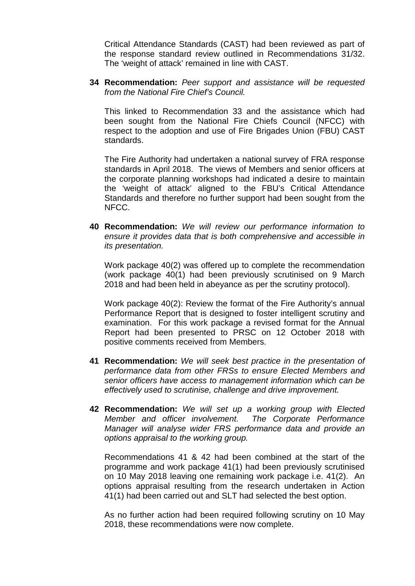Critical Attendance Standards (CAST) had been reviewed as part of the response standard review outlined in Recommendations 31/32. The 'weight of attack' remained in line with CAST.

**34 Recommendation:** *Peer support and assistance will be requested from the National Fire Chief's Council.*

This linked to Recommendation 33 and the assistance which had been sought from the National Fire Chiefs Council (NFCC) with respect to the adoption and use of Fire Brigades Union (FBU) CAST standards.

The Fire Authority had undertaken a national survey of FRA response standards in April 2018. The views of Members and senior officers at the corporate planning workshops had indicated a desire to maintain the 'weight of attack' aligned to the FBU's Critical Attendance Standards and therefore no further support had been sought from the NFCC.

**40 Recommendation:** *We will review our performance information to ensure it provides data that is both comprehensive and accessible in its presentation.*

Work package 40(2) was offered up to complete the recommendation (work package 40(1) had been previously scrutinised on 9 March 2018 and had been held in abeyance as per the scrutiny protocol).

Work package 40(2): Review the format of the Fire Authority's annual Performance Report that is designed to foster intelligent scrutiny and examination. For this work package a revised format for the Annual Report had been presented to PRSC on 12 October 2018 with positive comments received from Members.

- **41 Recommendation:** *We will seek best practice in the presentation of performance data from other FRSs to ensure Elected Members and senior officers have access to management information which can be effectively used to scrutinise, challenge and drive improvement.*
- **42 Recommendation:** *We will set up a working group with Elected Member and officer involvement. The Corporate Performance Manager will analyse wider FRS performance data and provide an options appraisal to the working group.*

Recommendations 41 & 42 had been combined at the start of the programme and work package 41(1) had been previously scrutinised on 10 May 2018 leaving one remaining work package i.e. 41(2). An options appraisal resulting from the research undertaken in Action 41(1) had been carried out and SLT had selected the best option.

As no further action had been required following scrutiny on 10 May 2018, these recommendations were now complete.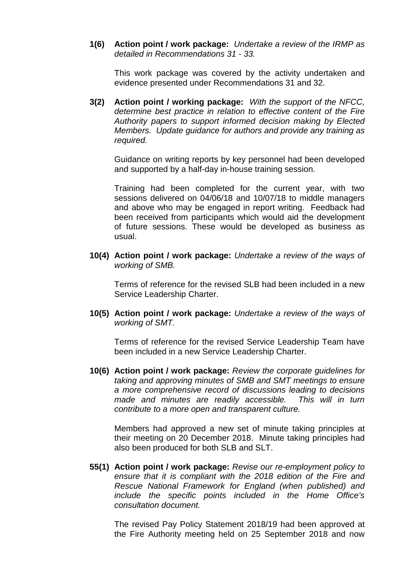**1(6) Action point / work package:** *Undertake a review of the IRMP as detailed in Recommendations 31 - 33.*

This work package was covered by the activity undertaken and evidence presented under Recommendations 31 and 32.

**3(2) Action point / working package:** *With the support of the NFCC, determine best practice in relation to effective content of the Fire Authority papers to support informed decision making by Elected Members. Update guidance for authors and provide any training as required.*

Guidance on writing reports by key personnel had been developed and supported by a half-day in-house training session.

Training had been completed for the current year, with two sessions delivered on 04/06/18 and 10/07/18 to middle managers and above who may be engaged in report writing. Feedback had been received from participants which would aid the development of future sessions. These would be developed as business as usual.

**10(4) Action point / work package:** *Undertake a review of the ways of working of SMB.*

Terms of reference for the revised SLB had been included in a new Service Leadership Charter.

**10(5) Action point / work package:** *Undertake a review of the ways of working of SMT.*

Terms of reference for the revised Service Leadership Team have been included in a new Service Leadership Charter.

**10(6) Action point / work package:** *Review the corporate guidelines for taking and approving minutes of SMB and SMT meetings to ensure a more comprehensive record of discussions leading to decisions made and minutes are readily accessible. This will in turn contribute to a more open and transparent culture.*

Members had approved a new set of minute taking principles at their meeting on 20 December 2018. Minute taking principles had also been produced for both SLB and SLT.

**55(1) Action point / work package:** *Revise our re-employment policy to ensure that it is compliant with the 2018 edition of the Fire and Rescue National Framework for England (when published) and include the specific points included in the Home Office's consultation document.*

The revised Pay Policy Statement 2018/19 had been approved at the Fire Authority meeting held on 25 September 2018 and now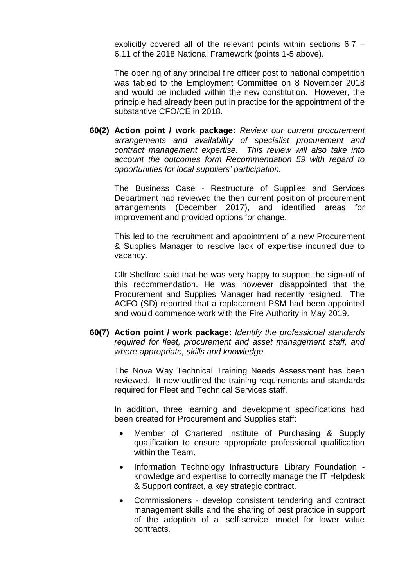explicitly covered all of the relevant points within sections 6.7 – 6.11 of the 2018 National Framework (points 1-5 above).

The opening of any principal fire officer post to national competition was tabled to the Employment Committee on 8 November 2018 and would be included within the new constitution. However, the principle had already been put in practice for the appointment of the substantive CFO/CE in 2018.

**60(2) Action point / work package:** *Review our current procurement arrangements and availability of specialist procurement and contract management expertise. This review will also take into account the outcomes form Recommendation 59 with regard to opportunities for local suppliers' participation.*

The Business Case - Restructure of Supplies and Services Department had reviewed the then current position of procurement arrangements (December 2017), and identified areas for improvement and provided options for change.

This led to the recruitment and appointment of a new Procurement & Supplies Manager to resolve lack of expertise incurred due to vacancy.

Cllr Shelford said that he was very happy to support the sign-off of this recommendation. He was however disappointed that the Procurement and Supplies Manager had recently resigned. The ACFO (SD) reported that a replacement PSM had been appointed and would commence work with the Fire Authority in May 2019.

**60(7) Action point / work package:** *Identify the professional standards required for fleet, procurement and asset management staff, and where appropriate, skills and knowledge.*

The Nova Way Technical Training Needs Assessment has been reviewed. It now outlined the training requirements and standards required for Fleet and Technical Services staff.

In addition, three learning and development specifications had been created for Procurement and Supplies staff:

- Member of Chartered Institute of Purchasing & Supply qualification to ensure appropriate professional qualification within the Team.
- Information Technology Infrastructure Library Foundation knowledge and expertise to correctly manage the IT Helpdesk & Support contract, a key strategic contract.
- Commissioners develop consistent tendering and contract management skills and the sharing of best practice in support of the adoption of a 'self-service' model for lower value contracts.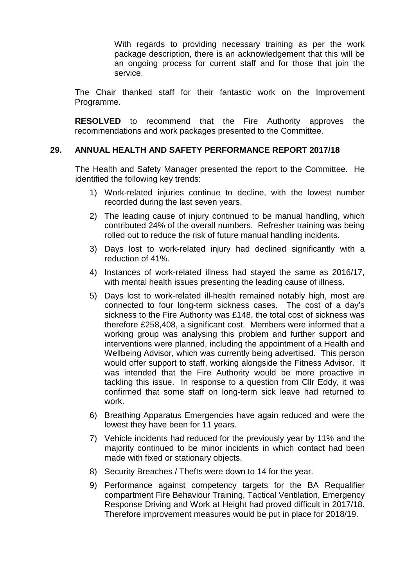With regards to providing necessary training as per the work package description, there is an acknowledgement that this will be an ongoing process for current staff and for those that join the service.

The Chair thanked staff for their fantastic work on the Improvement Programme.

**RESOLVED** to recommend that the Fire Authority approves the recommendations and work packages presented to the Committee.

#### **29. ANNUAL HEALTH AND SAFETY PERFORMANCE REPORT 2017/18**

The Health and Safety Manager presented the report to the Committee. He identified the following key trends:

- 1) Work-related injuries continue to decline, with the lowest number recorded during the last seven years.
- 2) The leading cause of injury continued to be manual handling, which contributed 24% of the overall numbers. Refresher training was being rolled out to reduce the risk of future manual handling incidents.
- 3) Days lost to work-related injury had declined significantly with a reduction of 41%.
- 4) Instances of work-related illness had stayed the same as 2016/17, with mental health issues presenting the leading cause of illness.
- 5) Days lost to work-related ill-health remained notably high, most are connected to four long-term sickness cases. The cost of a day's sickness to the Fire Authority was £148, the total cost of sickness was therefore £258,408, a significant cost. Members were informed that a working group was analysing this problem and further support and interventions were planned, including the appointment of a Health and Wellbeing Advisor, which was currently being advertised. This person would offer support to staff, working alongside the Fitness Advisor. It was intended that the Fire Authority would be more proactive in tackling this issue. In response to a question from Cllr Eddy, it was confirmed that some staff on long-term sick leave had returned to work.
- 6) Breathing Apparatus Emergencies have again reduced and were the lowest they have been for 11 years.
- 7) Vehicle incidents had reduced for the previously year by 11% and the majority continued to be minor incidents in which contact had been made with fixed or stationary objects.
- 8) Security Breaches / Thefts were down to 14 for the year.
- 9) Performance against competency targets for the BA Requalifier compartment Fire Behaviour Training, Tactical Ventilation, Emergency Response Driving and Work at Height had proved difficult in 2017/18. Therefore improvement measures would be put in place for 2018/19.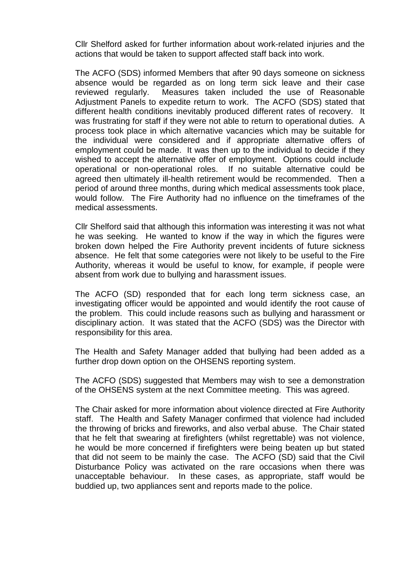Cllr Shelford asked for further information about work-related injuries and the actions that would be taken to support affected staff back into work.

The ACFO (SDS) informed Members that after 90 days someone on sickness absence would be regarded as on long term sick leave and their case reviewed regularly. Measures taken included the use of Reasonable Adjustment Panels to expedite return to work. The ACFO (SDS) stated that different health conditions inevitably produced different rates of recovery. It was frustrating for staff if they were not able to return to operational duties. A process took place in which alternative vacancies which may be suitable for the individual were considered and if appropriate alternative offers of employment could be made. It was then up to the individual to decide if they wished to accept the alternative offer of employment. Options could include operational or non-operational roles. If no suitable alternative could be agreed then ultimately ill-health retirement would be recommended. Then a period of around three months, during which medical assessments took place, would follow. The Fire Authority had no influence on the timeframes of the medical assessments.

Cllr Shelford said that although this information was interesting it was not what he was seeking. He wanted to know if the way in which the figures were broken down helped the Fire Authority prevent incidents of future sickness absence. He felt that some categories were not likely to be useful to the Fire Authority, whereas it would be useful to know, for example, if people were absent from work due to bullying and harassment issues.

The ACFO (SD) responded that for each long term sickness case, an investigating officer would be appointed and would identify the root cause of the problem. This could include reasons such as bullying and harassment or disciplinary action. It was stated that the ACFO (SDS) was the Director with responsibility for this area.

The Health and Safety Manager added that bullying had been added as a further drop down option on the OHSENS reporting system.

The ACFO (SDS) suggested that Members may wish to see a demonstration of the OHSENS system at the next Committee meeting. This was agreed.

The Chair asked for more information about violence directed at Fire Authority staff. The Health and Safety Manager confirmed that violence had included the throwing of bricks and fireworks, and also verbal abuse. The Chair stated that he felt that swearing at firefighters (whilst regrettable) was not violence, he would be more concerned if firefighters were being beaten up but stated that did not seem to be mainly the case. The ACFO (SD) said that the Civil Disturbance Policy was activated on the rare occasions when there was unacceptable behaviour. In these cases, as appropriate, staff would be buddied up, two appliances sent and reports made to the police.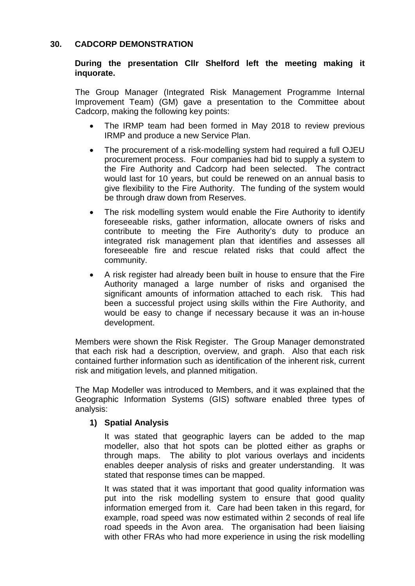### **30. CADCORP DEMONSTRATION**

### **During the presentation Cllr Shelford left the meeting making it inquorate.**

The Group Manager (Integrated Risk Management Programme Internal Improvement Team) (GM) gave a presentation to the Committee about Cadcorp, making the following key points:

- The IRMP team had been formed in May 2018 to review previous IRMP and produce a new Service Plan.
- The procurement of a risk-modelling system had required a full OJEU procurement process. Four companies had bid to supply a system to the Fire Authority and Cadcorp had been selected. The contract would last for 10 years, but could be renewed on an annual basis to give flexibility to the Fire Authority. The funding of the system would be through draw down from Reserves.
- The risk modelling system would enable the Fire Authority to identify foreseeable risks, gather information, allocate owners of risks and contribute to meeting the Fire Authority's duty to produce an integrated risk management plan that identifies and assesses all foreseeable fire and rescue related risks that could affect the community.
- A risk register had already been built in house to ensure that the Fire Authority managed a large number of risks and organised the significant amounts of information attached to each risk. This had been a successful project using skills within the Fire Authority, and would be easy to change if necessary because it was an in-house development.

Members were shown the Risk Register. The Group Manager demonstrated that each risk had a description, overview, and graph. Also that each risk contained further information such as identification of the inherent risk, current risk and mitigation levels, and planned mitigation.

The Map Modeller was introduced to Members, and it was explained that the Geographic Information Systems (GIS) software enabled three types of analysis:

### **1) Spatial Analysis**

It was stated that geographic layers can be added to the map modeller, also that hot spots can be plotted either as graphs or through maps. The ability to plot various overlays and incidents enables deeper analysis of risks and greater understanding. It was stated that response times can be mapped.

It was stated that it was important that good quality information was put into the risk modelling system to ensure that good quality information emerged from it. Care had been taken in this regard, for example, road speed was now estimated within 2 seconds of real life road speeds in the Avon area. The organisation had been liaising with other FRAs who had more experience in using the risk modelling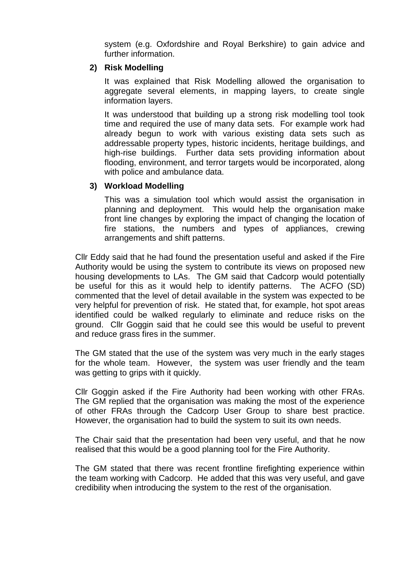system (e.g. Oxfordshire and Royal Berkshire) to gain advice and further information.

#### **2) Risk Modelling**

It was explained that Risk Modelling allowed the organisation to aggregate several elements, in mapping layers, to create single information layers.

It was understood that building up a strong risk modelling tool took time and required the use of many data sets. For example work had already begun to work with various existing data sets such as addressable property types, historic incidents, heritage buildings, and high-rise buildings. Further data sets providing information about flooding, environment, and terror targets would be incorporated, along with police and ambulance data.

### **3) Workload Modelling**

This was a simulation tool which would assist the organisation in planning and deployment. This would help the organisation make front line changes by exploring the impact of changing the location of fire stations, the numbers and types of appliances, crewing arrangements and shift patterns.

Cllr Eddy said that he had found the presentation useful and asked if the Fire Authority would be using the system to contribute its views on proposed new housing developments to LAs. The GM said that Cadcorp would potentially be useful for this as it would help to identify patterns. The ACFO (SD) commented that the level of detail available in the system was expected to be very helpful for prevention of risk. He stated that, for example, hot spot areas identified could be walked regularly to eliminate and reduce risks on the ground. Cllr Goggin said that he could see this would be useful to prevent and reduce grass fires in the summer.

The GM stated that the use of the system was very much in the early stages for the whole team. However, the system was user friendly and the team was getting to grips with it quickly.

Cllr Goggin asked if the Fire Authority had been working with other FRAs. The GM replied that the organisation was making the most of the experience of other FRAs through the Cadcorp User Group to share best practice. However, the organisation had to build the system to suit its own needs.

The Chair said that the presentation had been very useful, and that he now realised that this would be a good planning tool for the Fire Authority.

The GM stated that there was recent frontline firefighting experience within the team working with Cadcorp. He added that this was very useful, and gave credibility when introducing the system to the rest of the organisation.